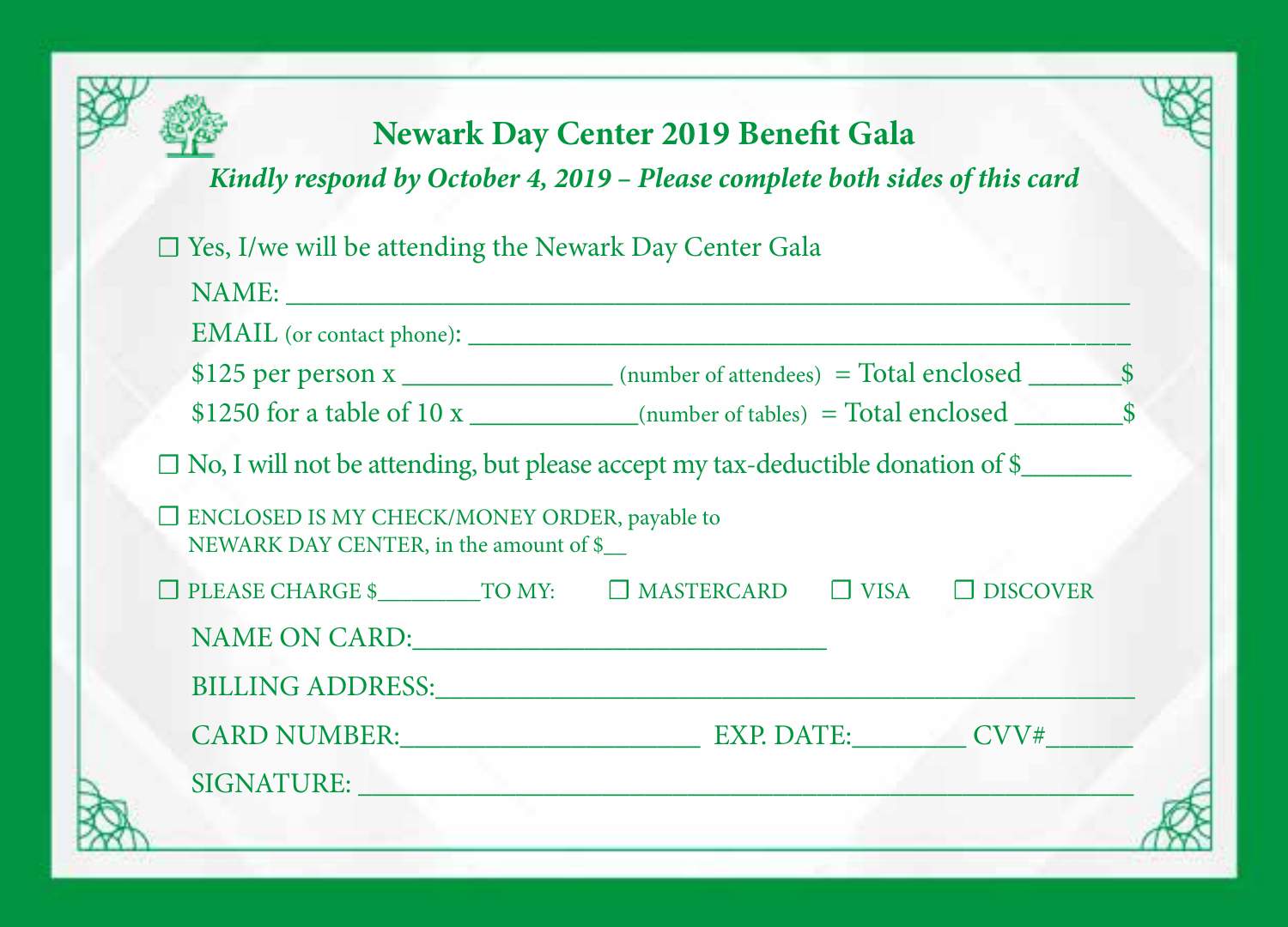## **Newark Day Center 2019 Benefit Gala**

*Kindly respond by October 4, 2019 – Please complete both sides of this card*

☐ Yes, I/we will be attending the Newark Day Center Gala

|                                                                                               | $$1250$ for a table of 10 x ____________(number of tables) = Total enclosed $$$ |  |  |  |
|-----------------------------------------------------------------------------------------------|---------------------------------------------------------------------------------|--|--|--|
| □ No, I will not be attending, but please accept my tax-deductible donation of \$             |                                                                                 |  |  |  |
| $\Box$ ENCLOSED IS MY CHECK/MONEY ORDER, payable to<br>NEWARK DAY CENTER, in the amount of \$ |                                                                                 |  |  |  |
| $\Box$ PLEASE CHARGE \$ TO MY: $\Box$ MASTERCARD $\Box$ VISA $\Box$ DISCOVER                  |                                                                                 |  |  |  |
| NAME ON CARD: University of the SAME ON CARD:                                                 |                                                                                 |  |  |  |
| BILLING ADDRESS: University of the SHILLING ADDRESS:                                          |                                                                                 |  |  |  |
| CARD NUMBER: EXP. DATE: CVV#                                                                  |                                                                                 |  |  |  |
| SIGNATURE: New York SIGNATURE:                                                                |                                                                                 |  |  |  |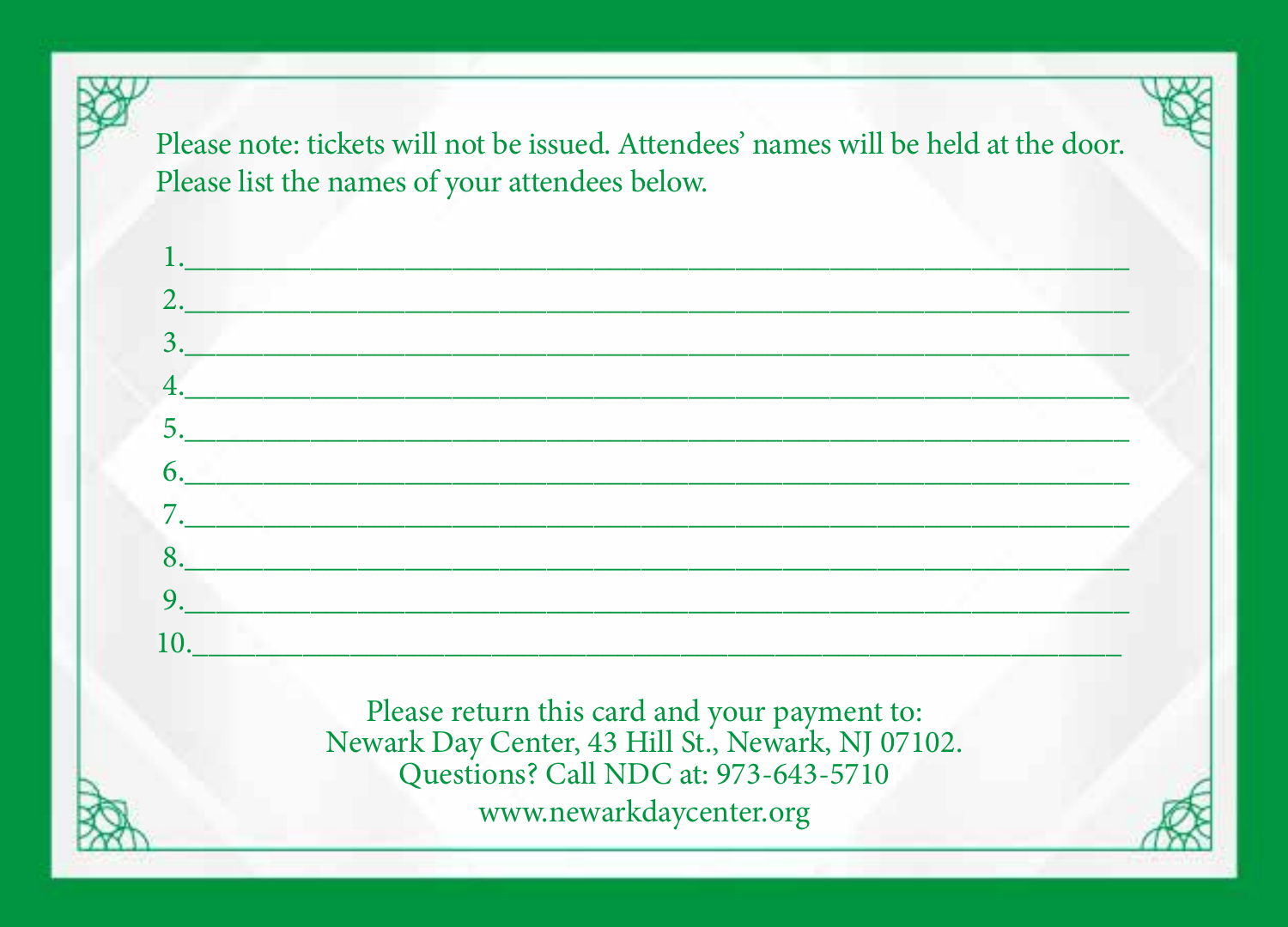Please note: tickets will not be issued. Attendees' names will be held at the door. Please list the names of your attendees below.